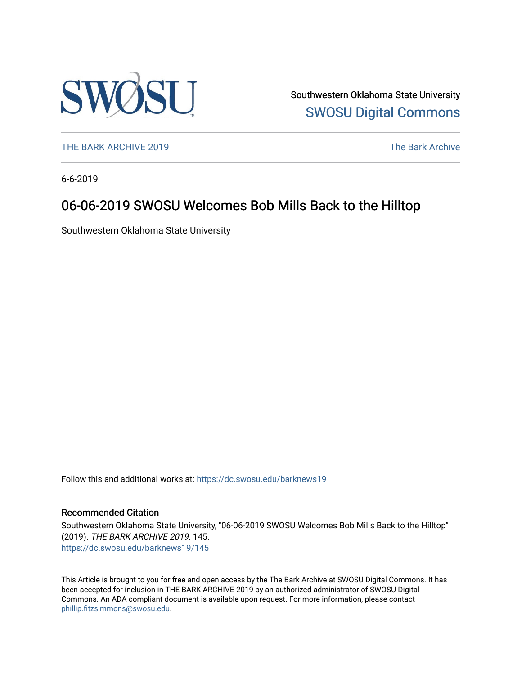

Southwestern Oklahoma State University [SWOSU Digital Commons](https://dc.swosu.edu/) 

[THE BARK ARCHIVE 2019](https://dc.swosu.edu/barknews19) The Bark Archive

6-6-2019

# 06-06-2019 SWOSU Welcomes Bob Mills Back to the Hilltop

Southwestern Oklahoma State University

Follow this and additional works at: [https://dc.swosu.edu/barknews19](https://dc.swosu.edu/barknews19?utm_source=dc.swosu.edu%2Fbarknews19%2F145&utm_medium=PDF&utm_campaign=PDFCoverPages)

### Recommended Citation

Southwestern Oklahoma State University, "06-06-2019 SWOSU Welcomes Bob Mills Back to the Hilltop" (2019). THE BARK ARCHIVE 2019. 145. [https://dc.swosu.edu/barknews19/145](https://dc.swosu.edu/barknews19/145?utm_source=dc.swosu.edu%2Fbarknews19%2F145&utm_medium=PDF&utm_campaign=PDFCoverPages)

This Article is brought to you for free and open access by the The Bark Archive at SWOSU Digital Commons. It has been accepted for inclusion in THE BARK ARCHIVE 2019 by an authorized administrator of SWOSU Digital Commons. An ADA compliant document is available upon request. For more information, please contact [phillip.fitzsimmons@swosu.edu](mailto:phillip.fitzsimmons@swosu.edu).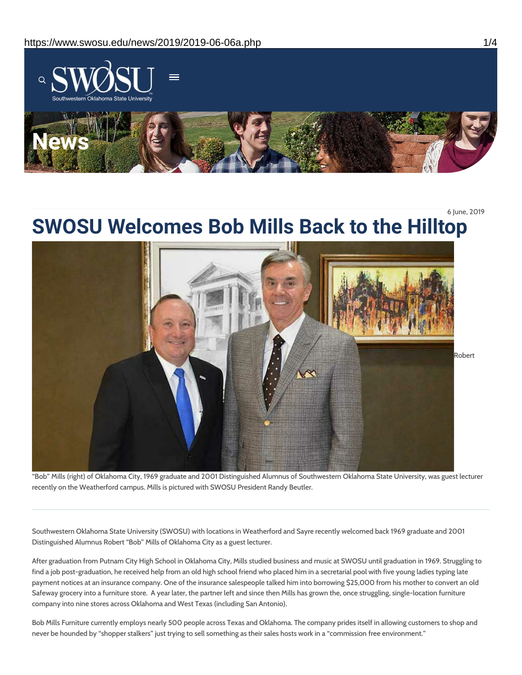

6 June, 2019



"Bob" Mills (right) of Oklahoma City, 1969 graduate and 2001 Distinguished Alumnus of Southwestern Oklahoma State University, was guest lecturer recently on the Weatherford campus. Mills is pictured with SWOSU President Randy Beutler.

Southwestern Oklahoma State University (SWOSU) with locations in Weatherford and Sayre recently welcomed back 1969 graduate and 2001 Distinguished Alumnus Robert "Bob" Mills of Oklahoma City as a guest lecturer.

After graduation from Putnam City High School in Oklahoma City, Mills studied business and music at SWOSU until graduation in 1969. Struggling to find a job post-graduation, he received help from an old high school friend who placed him in a secretarial pool with five young ladies typing late payment notices at an insurance company. One of the insurance salespeople talked him into borrowing \$25,000 from his mother to convert an old Safeway grocery into a furniture store. A year later, the partner left and since then Mills has grown the, once struggling, single-location furniture company into nine stores across Oklahoma and West Texas (including San Antonio).

Bob Mills Furniture currently employs nearly 500 people across Texas and Oklahoma. The company prides itself in allowing customers to shop and never be hounded by "shopper stalkers" just trying to sell something as their sales hosts work in a "commission free environment."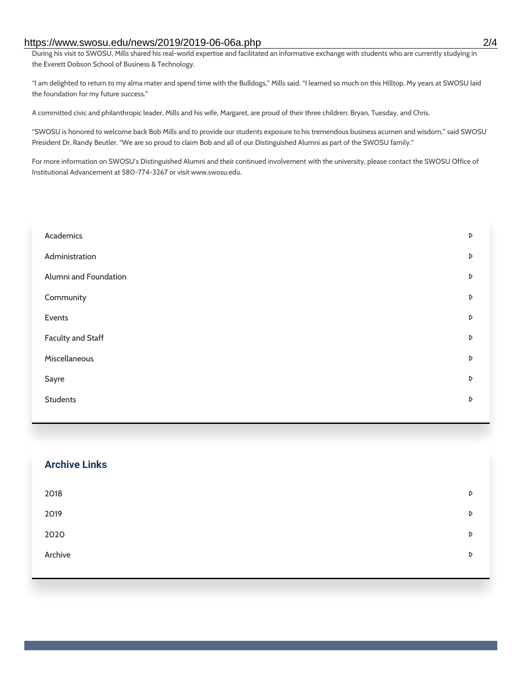### https://www.swosu.edu/news/2019/2019-06-06a.php 2/4

During his visit to SWOSU, Mills shared his real-world expertise and facilitated an informative exchange with students who are currently studying in the Everett Dobson School of Business & Technology.

"I am delighted to return to my alma mater and spend time with the Bulldogs," Mills said. "I learned so much on this Hilltop. My years at SWOSU laid the foundation for my future success."

A committed civic and philanthropic leader, Mills and his wife, Margaret, are proud of their three children: Bryan, Tuesday, and Chris.

"SWOSU is honored to welcome back Bob Mills and to provide our students exposure to his tremendous business acumen and wisdom," said SWOSU President Dr. Randy Beutler. "We are so proud to claim Bob and all of our Distinguished Alumni as part of the SWOSU family."

For more information on SWOSU's Distinguished Alumni and their continued involvement with the university, please contact the SWOSU Office of Institutional Advancement at 580-774-3267 or visit www.swosu.edu.

| Academics                | D |
|--------------------------|---|
| Administration           | D |
| Alumni and Foundation    | D |
| Community                | D |
| Events                   | D |
| <b>Faculty and Staff</b> | D |
| Miscellaneous            | D |
| Sayre                    | D |
| <b>Students</b>          | D |
|                          |   |

| <b>Archive Links</b> |   |
|----------------------|---|
| 2018                 | D |
| 2019                 | D |
| 2020                 | D |
| Archive              | D |
|                      |   |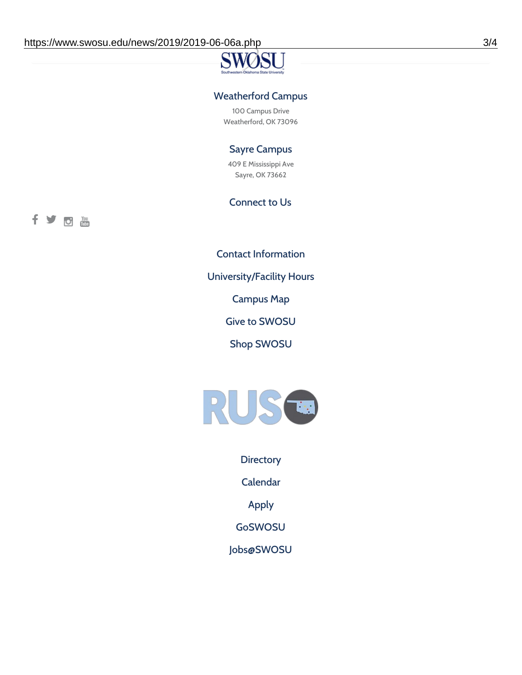## Weatherford Campus

100 Campus Drive Weatherford, OK 73096

## Sayre Campus

409 E Mississippi Ave Sayre, OK 73662

### Connect to Us

fyoth

Contact [Information](https://www.swosu.edu/about/contact.php)

[University/Facility](https://www.swosu.edu/about/operating-hours.php) Hours

[Campus](https://map.concept3d.com/?id=768#!ct/10964,10214,10213,10212,10205,10204,10203,10202,10136,10129,10128,0,31226,10130,10201,10641,0) Map

Give to [SWOSU](https://standingfirmly.com/donate)

Shop [SWOSU](https://shopswosu.merchorders.com/)



**[Directory](https://www.swosu.edu/directory/index.php)** 

[Calendar](https://eventpublisher.dudesolutions.com/swosu/)

[Apply](https://www.swosu.edu/admissions/apply-to-swosu.php)

[GoSWOSU](https://qlsso.quicklaunchsso.com/home/1267)

[Jobs@SWOSU](https://swosu.csod.com/ux/ats/careersite/1/home?c=swosu)